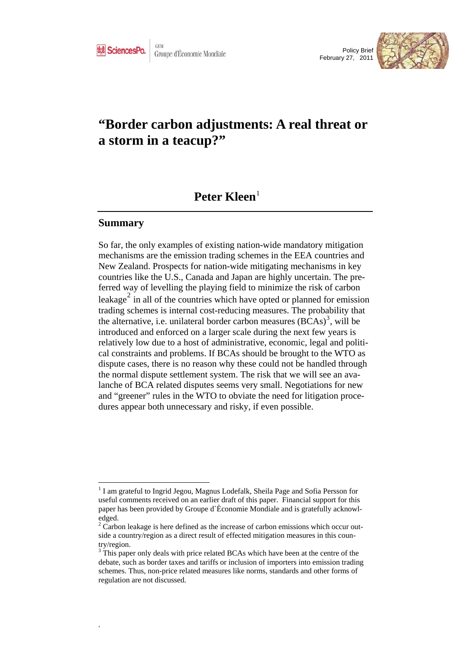



# **"Border carbon adjustments: A real threat or a storm in a teacup?"**

## Peter Kleen<sup>[1](#page-0-0)</sup>

### **Summary**

 $\overline{a}$ 

,

So far, the only examples of existing nation-wide mandatory mitigation mechanisms are the emission trading schemes in the EEA countries and New Zealand. Prospects for nation-wide mitigating mechanisms in key countries like the U.S., Canada and Japan are highly uncertain. The preferred way of levelling the playing field to minimize the risk of carbon leakage<sup>[2](#page-0-1)</sup> in all of the countries which have opted or planned for emission trading schemes is internal cost-reducing measures. The probability that the alternative, i.e. unilateral border carbon measures  $(BCAs)^3$  $(BCAs)^3$ , will be introduced and enforced on a larger scale during the next few years is relatively low due to a host of administrative, economic, legal and political constraints and problems. If BCAs should be brought to the WTO as dispute cases, there is no reason why these could not be handled through the normal dispute settlement system. The risk that we will see an avalanche of BCA related disputes seems very small. Negotiations for new and "greener" rules in the WTO to obviate the need for litigation procedures appear both unnecessary and risky, if even possible.

<span id="page-0-0"></span><sup>&</sup>lt;sup>1</sup> I am grateful to Ingrid Jegou, Magnus Lodefalk, Sheila Page and Sofia Persson for useful comments received on an earlier draft of this paper. Financial support for this paper has been provided by Groupe d`Èconomie Mondiale and is gratefully acknowledged.

<span id="page-0-1"></span> $2^2$  Carbon leakage is here defined as the increase of carbon emissions which occur outside a country/region as a direct result of effected mitigation measures in this country/region.

<span id="page-0-2"></span><sup>&</sup>lt;sup>3</sup> This paper only deals with price related BCAs which have been at the centre of the debate, such as border taxes and tariffs or inclusion of importers into emission trading schemes. Thus, non-price related measures like norms, standards and other forms of regulation are not discussed.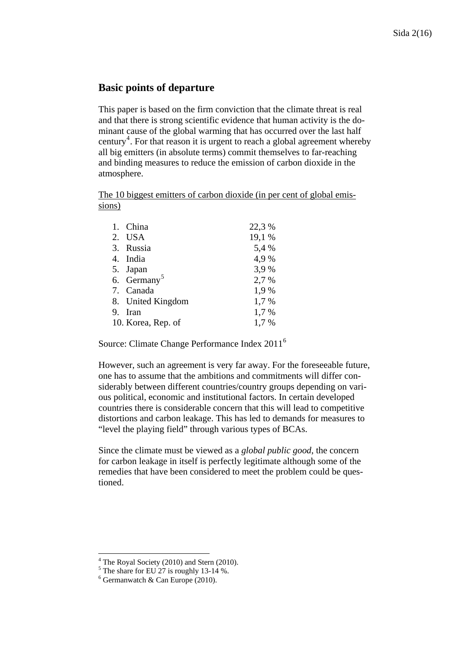### **Basic points of departure**

This paper is based on the firm conviction that the climate threat is real and that there is strong scientific evidence that human activity is the dominant cause of the global warming that has occurred over the last half century<sup>[4](#page-1-0)</sup>. For that reason it is urgent to reach a global agreement whereby all big emitters (in absolute terms) commit themselves to far-reaching and binding measures to reduce the emission of carbon dioxide in the atmosphere.

The 10 biggest emitters of carbon dioxide (in per cent of global emissions)

| 1. China                | 22,3 % |
|-------------------------|--------|
| 2. USA                  | 19,1 % |
| 3. Russia               | 5,4 %  |
| 4. India                | 4,9%   |
| 5. Japan                | 3,9%   |
| 6. Germany <sup>5</sup> | 2,7 %  |
| 7. Canada               | 1,9%   |
| 8. United Kingdom       | 1,7%   |
| 9. Iran                 | 1,7%   |
| 10. Korea, Rep. of      | 1,7 %  |

Source: Climate Change Performance Index 2011<sup>[6](#page-1-2)</sup>

However, such an agreement is very far away. For the foreseeable future, one has to assume that the ambitions and commitments will differ considerably between different countries/country groups depending on various political, economic and institutional factors. In certain developed countries there is considerable concern that this will lead to competitive distortions and carbon leakage. This has led to demands for measures to "level the playing field" through various types of BCAs.

Since the climate must be viewed as a *global public good*, the concern for carbon leakage in itself is perfectly legitimate although some of the remedies that have been considered to meet the problem could be questioned.

<span id="page-1-1"></span><span id="page-1-0"></span><sup>&</sup>lt;sup>4</sup> The Royal Society (2010) and Stern (2010).

 $<sup>5</sup>$  The share for EU 27 is roughly 13-14 %.</sup>

<span id="page-1-2"></span><sup>6</sup> Germanwatch & Can Europe (2010).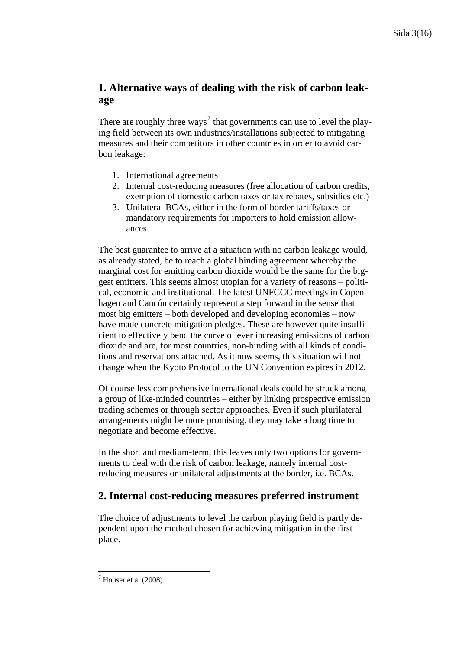## **1. Alternative ways of dealing with the risk of carbon leakage**

There are roughly three ways<sup>[7](#page-2-0)</sup> that governments can use to level the playing field between its own industries/installations subjected to mitigating measures and their competitors in other countries in order to avoid carbon leakage:

- 1. International agreements
- 2. Internal cost-reducing measures (free allocation of carbon credits, exemption of domestic carbon taxes or tax rebates, subsidies etc.)
- 3. Unilateral BCAs, either in the form of border tariffs/taxes or mandatory requirements for importers to hold emission allowances.

The best guarantee to arrive at a situation with no carbon leakage would, as already stated, be to reach a global binding agreement whereby the marginal cost for emitting carbon dioxide would be the same for the biggest emitters. This seems almost utopian for a variety of reasons – political, economic and institutional. The latest UNFCCC meetings in Copenhagen and Cancún certainly represent a step forward in the sense that most big emitters – both developed and developing economies – now have made concrete mitigation pledges. These are however quite insufficient to effectively bend the curve of ever increasing emissions of carbon dioxide and are, for most countries, non-binding with all kinds of conditions and reservations attached. As it now seems, this situation will not change when the Kyoto Protocol to the UN Convention expires in 2012.

Of course less comprehensive international deals could be struck among a group of like-minded countries – either by linking prospective emission trading schemes or through sector approaches. Even if such plurilateral arrangements might be more promising, they may take a long time to negotiate and become effective.

In the short and medium-term, this leaves only two options for governments to deal with the risk of carbon leakage, namely internal costreducing measures or unilateral adjustments at the border, i.e. BCAs.

## **2. Internal cost-reducing measures preferred instrument**

The choice of adjustments to level the carbon playing field is partly dependent upon the method chosen for achieving mitigation in the first place.

<span id="page-2-0"></span> $\overline{a}$  $<sup>7</sup>$  Houser et al (2008).</sup>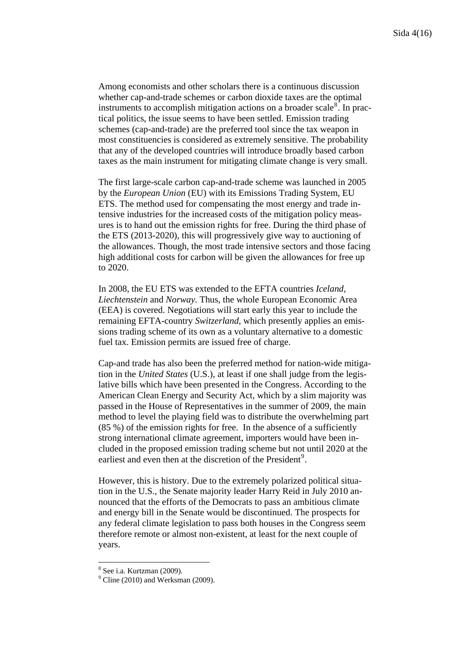Among economists and other scholars there is a continuous discussion whether cap-and-trade schemes or carbon dioxide taxes are the optimal instruments to accomplish mitigation actions on a broader scale $\delta$ . In practical politics, the issue seems to have been settled. Emission trading schemes (cap-and-trade) are the preferred tool since the tax weapon in most constituencies is considered as extremely sensitive. The probability that any of the developed countries will introduce broadly based carbon taxes as the main instrument for mitigating climate change is very small.

The first large-scale carbon cap-and-trade scheme was launched in 2005 by the *European Union* (EU) with its Emissions Trading System, EU ETS. The method used for compensating the most energy and trade intensive industries for the increased costs of the mitigation policy measures is to hand out the emission rights for free. During the third phase of the ETS (2013-2020), this will progressively give way to auctioning of the allowances. Though, the most trade intensive sectors and those facing high additional costs for carbon will be given the allowances for free up to 2020.

In 2008, the EU ETS was extended to the EFTA countries *Iceland, Liechtenstein* and *Norway.* Thus, the whole European Economic Area (EEA) is covered. Negotiations will start early this year to include the remaining EFTA-country *Switzerland*, which presently applies an emissions trading scheme of its own as a voluntary alternative to a domestic fuel tax. Emission permits are issued free of charge.

Cap-and trade has also been the preferred method for nation-wide mitigation in the *United States* (U.S.), at least if one shall judge from the legislative bills which have been presented in the Congress. According to the American Clean Energy and Security Act, which by a slim majority was passed in the House of Representatives in the summer of 2009, the main method to level the playing field was to distribute the overwhelming part (85 %) of the emission rights for free. In the absence of a sufficiently strong international climate agreement, importers would have been included in the proposed emission trading scheme but not until 2020 at the earliest and even then at the discretion of the President<sup>[9](#page-3-1)</sup>.

However, this is history. Due to the extremely polarized political situation in the U.S., the Senate majority leader Harry Reid in July 2010 announced that the efforts of the Democrats to pass an ambitious climate and energy bill in the Senate would be discontinued. The prospects for any federal climate legislation to pass both houses in the Congress seem therefore remote or almost non-existent, at least for the next couple of years.

<span id="page-3-1"></span><span id="page-3-0"></span><sup>8</sup> See i.a. Kurtzman (2009).

 $<sup>9</sup>$  Cline (2010) and Werksman (2009).</sup>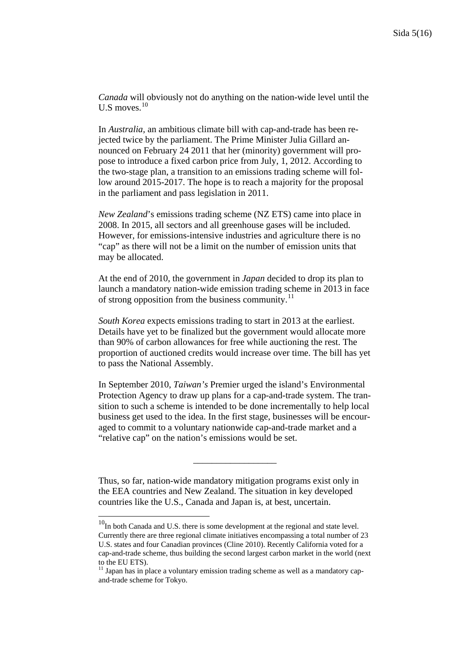*Canada* will obviously not do anything on the nation-wide level until the U.S moves. $10$ 

In *Australia,* an ambitious climate bill with cap-and-trade has been rejected twice by the parliament. The Prime Minister Julia Gillard announced on February 24 2011 that her (minority) government will propose to introduce a fixed carbon price from July, 1, 2012. According to the two-stage plan, a transition to an emissions trading scheme will follow around 2015-2017. The hope is to reach a majority for the proposal in the parliament and pass legislation in 2011.

*New Zealand*'s emissions trading scheme (NZ ETS) came into place in 2008. In 2015, all sectors and all greenhouse gases will be included. However, for emissions-intensive industries and agriculture there is no "cap" as there will not be a limit on the number of emission units that may be allocated.

At the end of 2010, the government in *Japan* decided to drop its plan to launch a mandatory nation-wide emission trading scheme in 2013 in face of strong opposition from the business community. $^{11}$  $^{11}$  $^{11}$ 

*South Korea* expects emissions trading to start in 2013 at the earliest. Details have yet to be finalized but the government would allocate more than 90% of carbon allowances for free while auctioning the rest. The proportion of auctioned credits would increase over time. The bill has yet to pass the National Assembly.

In September 2010, *Taiwan's* Premier urged the island's Environmental Protection Agency to draw up plans for a cap-and-trade system. The transition to such a scheme is intended to be done incrementally to help local business get used to the idea. In the first stage, businesses will be encouraged to commit to a voluntary nationwide cap-and-trade market and a "relative cap" on the nation's emissions would be set.

Thus, so far, nation-wide mandatory mitigation programs exist only in the EEA countries and New Zealand. The situation in key developed countries like the U.S., Canada and Japan is, at best, uncertain.

 $\frac{1}{2}$  ,  $\frac{1}{2}$  ,  $\frac{1}{2}$  ,  $\frac{1}{2}$  ,  $\frac{1}{2}$  ,  $\frac{1}{2}$  ,  $\frac{1}{2}$  ,  $\frac{1}{2}$  ,  $\frac{1}{2}$  ,  $\frac{1}{2}$  ,  $\frac{1}{2}$  ,  $\frac{1}{2}$  ,  $\frac{1}{2}$  ,  $\frac{1}{2}$  ,  $\frac{1}{2}$  ,  $\frac{1}{2}$  ,  $\frac{1}{2}$  ,  $\frac{1}{2}$  ,  $\frac{1$ 

<span id="page-4-0"></span> $10$ In both Canada and U.S. there is some development at the regional and state level. Currently there are three regional climate initiatives encompassing a total number of 23 U.S. states and four Canadian provinces (Cline 2010). Recently California voted for a cap-and-trade scheme, thus building the second largest carbon market in the world (next to the EU ETS).

<span id="page-4-1"></span> $11$  Japan has in place a voluntary emission trading scheme as well as a mandatory capand-trade scheme for Tokyo.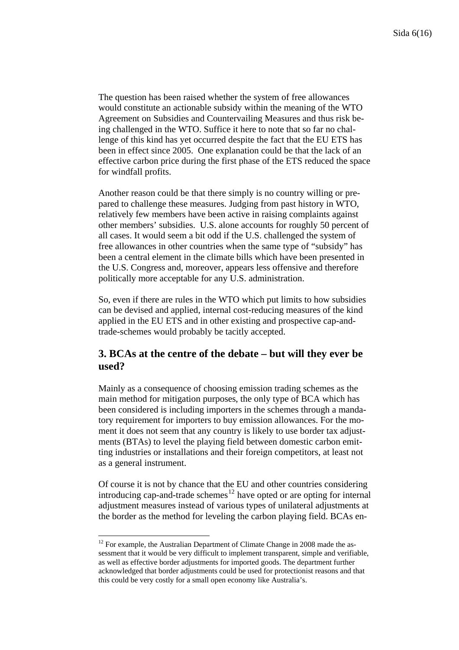The question has been raised whether the system of free allowances would constitute an actionable subsidy within the meaning of the WTO Agreement on Subsidies and Countervailing Measures and thus risk being challenged in the WTO. Suffice it here to note that so far no challenge of this kind has yet occurred despite the fact that the EU ETS has been in effect since 2005. One explanation could be that the lack of an effective carbon price during the first phase of the ETS reduced the space for windfall profits.

Another reason could be that there simply is no country willing or prepared to challenge these measures. Judging from past history in WTO, relatively few members have been active in raising complaints against other members' subsidies. U.S. alone accounts for roughly 50 percent of all cases. It would seem a bit odd if the U.S. challenged the system of free allowances in other countries when the same type of "subsidy" has been a central element in the climate bills which have been presented in the U.S. Congress and, moreover, appears less offensive and therefore politically more acceptable for any U.S. administration.

So, even if there are rules in the WTO which put limits to how subsidies can be devised and applied, internal cost-reducing measures of the kind applied in the EU ETS and in other existing and prospective cap-andtrade-schemes would probably be tacitly accepted.

## **3. BCAs at the centre of the debate – but will they ever be used?**

Mainly as a consequence of choosing emission trading schemes as the main method for mitigation purposes, the only type of BCA which has been considered is including importers in the schemes through a mandatory requirement for importers to buy emission allowances. For the moment it does not seem that any country is likely to use border tax adjustments (BTAs) to level the playing field between domestic carbon emitting industries or installations and their foreign competitors, at least not as a general instrument.

Of course it is not by chance that the EU and other countries considering introducing cap-and-trade schemes<sup>[12](#page-5-0)</sup> have opted or are opting for internal adjustment measures instead of various types of unilateral adjustments at the border as the method for leveling the carbon playing field. BCAs en-

<span id="page-5-0"></span> $\overline{a}$  $12$  For example, the Australian Department of Climate Change in 2008 made the assessment that it would be very difficult to implement transparent, simple and verifiable, as well as effective border adjustments for imported goods. The department further acknowledged that border adjustments could be used for protectionist reasons and that this could be very costly for a small open economy like Australia's.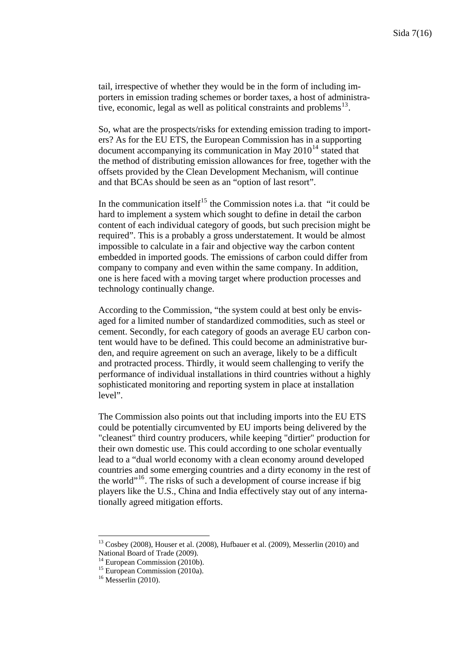tail, irrespective of whether they would be in the form of including importers in emission trading schemes or border taxes, a host of administrative, economic, legal as well as political constraints and problems $^{13}$  $^{13}$  $^{13}$ .

So, what are the prospects/risks for extending emission trading to importers? As for the EU ETS, the European Commission has in a supporting document accompanying its communication in May  $2010^{14}$  $2010^{14}$  $2010^{14}$  stated that the method of distributing emission allowances for free, together with the offsets provided by the Clean Development Mechanism, will continue and that BCAs should be seen as an "option of last resort".

In the communication itself<sup>[15](#page-6-2)</sup> the Commission notes i.a. that "it could be hard to implement a system which sought to define in detail the carbon content of each individual category of goods, but such precision might be required". This is a probably a gross understatement. It would be almost impossible to calculate in a fair and objective way the carbon content embedded in imported goods. The emissions of carbon could differ from company to company and even within the same company. In addition, one is here faced with a moving target where production processes and technology continually change.

According to the Commission, "the system could at best only be envisaged for a limited number of standardized commodities, such as steel or cement. Secondly, for each category of goods an average EU carbon content would have to be defined. This could become an administrative burden, and require agreement on such an average, likely to be a difficult and protracted process. Thirdly, it would seem challenging to verify the performance of individual installations in third countries without a highly sophisticated monitoring and reporting system in place at installation level".

The Commission also points out that including imports into the EU ETS could be potentially circumvented by EU imports being delivered by the "cleanest" third country producers, while keeping "dirtier" production for their own domestic use. This could according to one scholar eventually lead to a "dual world economy with a clean economy around developed countries and some emerging countries and a dirty economy in the rest of the world"[16](#page-6-3). The risks of such a development of course increase if big players like the U.S., China and India effectively stay out of any internationally agreed mitigation efforts.

<span id="page-6-0"></span><sup>&</sup>lt;sup>13</sup> Cosbey (2008), Houser et al. (2008), Hufbauer et al. (2009), Messerlin (2010) and National Board of Trade (2009).

<span id="page-6-1"></span><sup>&</sup>lt;sup>14</sup> European Commission (2010b).

<sup>&</sup>lt;sup>15</sup> European Commission (2010a).

<span id="page-6-3"></span><span id="page-6-2"></span> $16$  Messerlin (2010).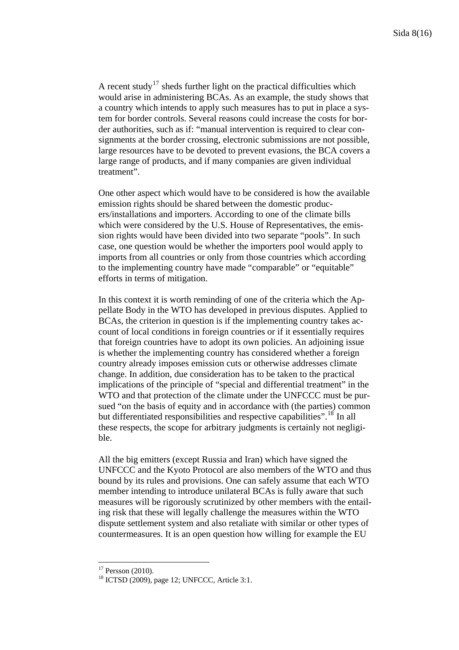A recent study<sup>[17](#page-7-0)</sup> sheds further light on the practical difficulties which would arise in administering BCAs. As an example, the study shows that a country which intends to apply such measures has to put in place a system for border controls. Several reasons could increase the costs for border authorities, such as if: "manual intervention is required to clear consignments at the border crossing, electronic submissions are not possible, large resources have to be devoted to prevent evasions, the BCA covers a large range of products, and if many companies are given individual treatment".

One other aspect which would have to be considered is how the available emission rights should be shared between the domestic producers/installations and importers. According to one of the climate bills which were considered by the U.S. House of Representatives, the emission rights would have been divided into two separate "pools". In such case, one question would be whether the importers pool would apply to imports from all countries or only from those countries which according to the implementing country have made "comparable" or "equitable" efforts in terms of mitigation.

In this context it is worth reminding of one of the criteria which the Appellate Body in the WTO has developed in previous disputes. Applied to BCAs, the criterion in question is if the implementing country takes account of local conditions in foreign countries or if it essentially requires that foreign countries have to adopt its own policies. An adjoining issue is whether the implementing country has considered whether a foreign country already imposes emission cuts or otherwise addresses climate change. In addition, due consideration has to be taken to the practical implications of the principle of "special and differential treatment" in the WTO and that protection of the climate under the UNFCCC must be pursued "on the basis of equity and in accordance with (the parties) common but differentiated responsibilities and respective capabilities".<sup>[18](#page-7-1)</sup> In all these respects, the scope for arbitrary judgments is certainly not negligible.

All the big emitters (except Russia and Iran) which have signed the UNFCCC and the Kyoto Protocol are also members of the WTO and thus bound by its rules and provisions. One can safely assume that each WTO member intending to introduce unilateral BCAs is fully aware that such measures will be rigorously scrutinized by other members with the entailing risk that these will legally challenge the measures within the WTO dispute settlement system and also retaliate with similar or other types of countermeasures. It is an open question how willing for example the EU

<span id="page-7-0"></span> $17$  Persson (2010).

<span id="page-7-1"></span> $18$  ICTSD (2009), page 12; UNFCCC, Article 3:1.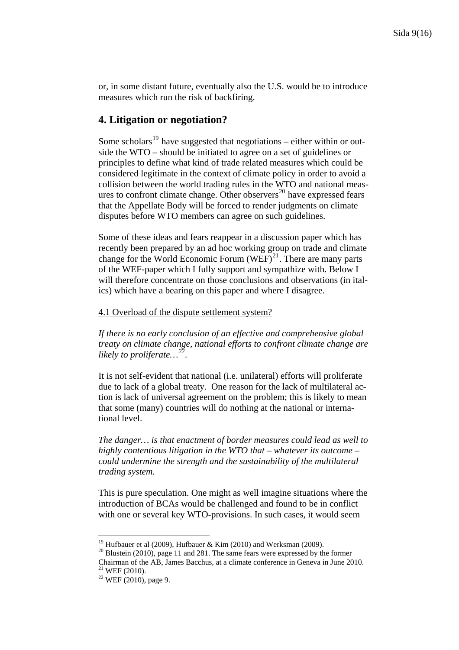or, in some distant future, eventually also the U.S. would be to introduce measures which run the risk of backfiring.

## **4. Litigation or negotiation?**

Some scholars<sup>[19](#page-8-0)</sup> have suggested that negotiations – either within or outside the WTO – should be initiated to agree on a set of guidelines or principles to define what kind of trade related measures which could be considered legitimate in the context of climate policy in order to avoid a collision between the world trading rules in the WTO and national meas-ures to confront climate change. Other observers<sup>[20](#page-8-1)</sup> have expressed fears that the Appellate Body will be forced to render judgments on climate disputes before WTO members can agree on such guidelines.

Some of these ideas and fears reappear in a discussion paper which has recently been prepared by an ad hoc working group on trade and climate change for the World Economic Forum  $(WEF)^{21}$  $(WEF)^{21}$  $(WEF)^{21}$ . There are many parts of the WEF-paper which I fully support and sympathize with. Below I will therefore concentrate on those conclusions and observations (in italics) which have a bearing on this paper and where I disagree.

#### 4.1 Overload of the dispute settlement system?

*If there is no early conclusion of an effective and comprehensive global treaty on climate change, national efforts to confront climate change are likely to proliferate…[22](#page-8-3).* 

It is not self-evident that national (i.e. unilateral) efforts will proliferate due to lack of a global treaty. One reason for the lack of multilateral action is lack of universal agreement on the problem; this is likely to mean that some (many) countries will do nothing at the national or international level.

*The danger… is that enactment of border measures could lead as well to highly contentious litigation in the WTO that – whatever its outcome – could undermine the strength and the sustainability of the multilateral trading system.*

This is pure speculation. One might as well imagine situations where the introduction of BCAs would be challenged and found to be in conflict with one or several key WTO-provisions. In such cases, it would seem

<span id="page-8-1"></span><span id="page-8-0"></span><sup>&</sup>lt;sup>19</sup> Hufbauer et al (2009), Hufbauer & Kim (2010) and Werksman (2009).<br><sup>20</sup> Blustein (2010), page 11 and 281. The same fears were expressed by the former Chairman of the AB, James Bacchus, at a climate conference in Geneva in June 2010. 21 WEF (2010).

<span id="page-8-3"></span><span id="page-8-2"></span> $22$  WEF (2010), page 9.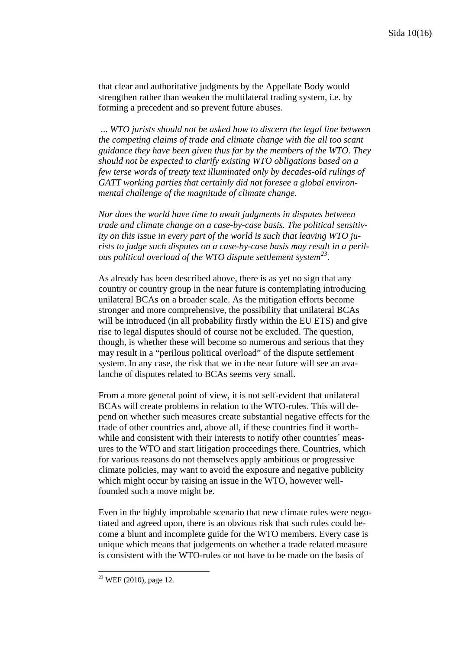that clear and authoritative judgments by the Appellate Body would strengthen rather than weaken the multilateral trading system, i.e. by forming a precedent and so prevent future abuses.

 ... *WTO jurists should not be asked how to discern the legal line between the competing claims of trade and climate change with the all too scant guidance they have been given thus far by the members of the WTO. They should not be expected to clarify existing WTO obligations based on a few terse words of treaty text illuminated only by decades-old rulings of GATT working parties that certainly did not foresee a global environmental challenge of the magnitude of climate change.* 

*Nor does the world have time to await judgments in disputes between trade and climate change on a case-by-case basis. The political sensitivity on this issue in every part of the world is such that leaving WTO jurists to judge such disputes on a case-by-case basis may result in a perilous political overload of the WTO dispute settlement system[23](#page-9-0).* 

As already has been described above, there is as yet no sign that any country or country group in the near future is contemplating introducing unilateral BCAs on a broader scale. As the mitigation efforts become stronger and more comprehensive, the possibility that unilateral BCAs will be introduced (in all probability firstly within the EU ETS) and give rise to legal disputes should of course not be excluded. The question, though, is whether these will become so numerous and serious that they may result in a "perilous political overload" of the dispute settlement system. In any case, the risk that we in the near future will see an avalanche of disputes related to BCAs seems very small.

From a more general point of view, it is not self-evident that unilateral BCAs will create problems in relation to the WTO-rules. This will depend on whether such measures create substantial negative effects for the trade of other countries and, above all, if these countries find it worthwhile and consistent with their interests to notify other countries' measures to the WTO and start litigation proceedings there. Countries, which for various reasons do not themselves apply ambitious or progressive climate policies, may want to avoid the exposure and negative publicity which might occur by raising an issue in the WTO, however wellfounded such a move might be.

Even in the highly improbable scenario that new climate rules were negotiated and agreed upon, there is an obvious risk that such rules could become a blunt and incomplete guide for the WTO members. Every case is unique which means that judgements on whether a trade related measure is consistent with the WTO-rules or not have to be made on the basis of

<span id="page-9-0"></span> $23$  WEF (2010), page 12.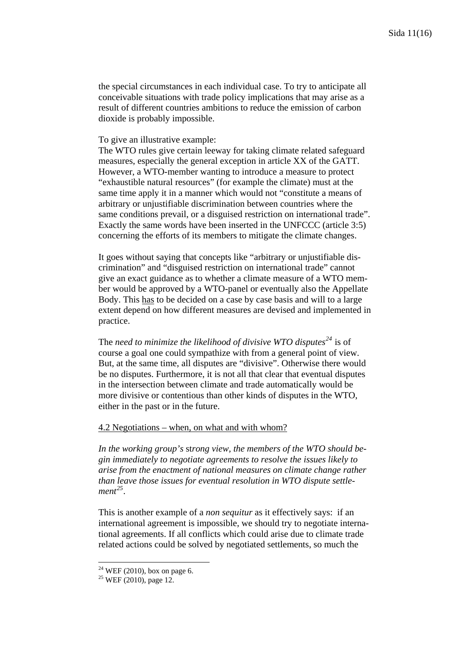the special circumstances in each individual case. To try to anticipate all conceivable situations with trade policy implications that may arise as a result of different countries ambitions to reduce the emission of carbon dioxide is probably impossible.

#### To give an illustrative example:

The WTO rules give certain leeway for taking climate related safeguard measures, especially the general exception in article XX of the GATT. However, a WTO-member wanting to introduce a measure to protect "exhaustible natural resources" (for example the climate) must at the same time apply it in a manner which would not "constitute a means of arbitrary or unjustifiable discrimination between countries where the same conditions prevail, or a disguised restriction on international trade". Exactly the same words have been inserted in the UNFCCC (article 3:5) concerning the efforts of its members to mitigate the climate changes.

It goes without saying that concepts like "arbitrary or unjustifiable discrimination" and "disguised restriction on international trade" cannot give an exact guidance as to whether a climate measure of a WTO member would be approved by a WTO-panel or eventually also the Appellate Body. This has to be decided on a case by case basis and will to a large extent depend on how different measures are devised and implemented in practice.

The *need to minimize the likelihood of divisive WTO disputes*<sup>[24](#page-10-0)</sup> is of course a goal one could sympathize with from a general point of view. But, at the same time, all disputes are "divisive". Otherwise there would be no disputes. Furthermore, it is not all that clear that eventual disputes in the intersection between climate and trade automatically would be more divisive or contentious than other kinds of disputes in the WTO, either in the past or in the future.

### 4.2 Negotiations – when, on what and with whom?

*In the working group's* st*rong view, the members of the WTO should begin immediately to negotiate agreements to resolve the issues likely to arise from the enactment of national measures on climate change rather than leave those issues for eventual resolution in WTO dispute settlement[25](#page-10-1).* 

This is another example of a *non sequitur* as it effectively says: if an international agreement is impossible, we should try to negotiate international agreements. If all conflicts which could arise due to climate trade related actions could be solved by negotiated settlements, so much the

 $24$  WEF (2010), box on page 6.

<span id="page-10-1"></span><span id="page-10-0"></span> $25$  WEF (2010), page 12.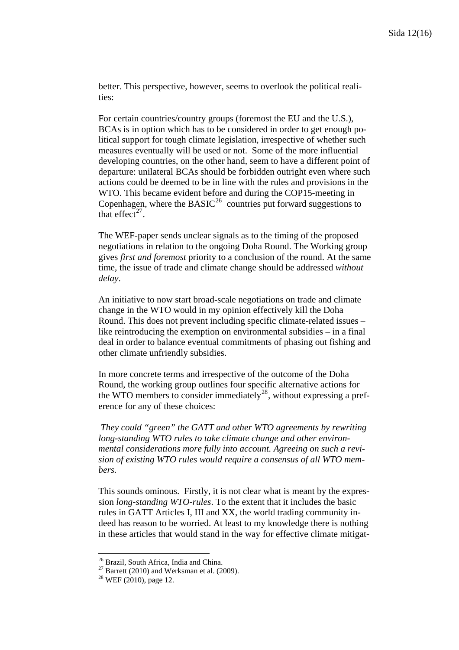better. This perspective, however, seems to overlook the political realities:

For certain countries/country groups (foremost the EU and the U.S.), BCAs is in option which has to be considered in order to get enough political support for tough climate legislation, irrespective of whether such measures eventually will be used or not. Some of the more influential developing countries, on the other hand, seem to have a different point of departure: unilateral BCAs should be forbidden outright even where such actions could be deemed to be in line with the rules and provisions in the WTO. This became evident before and during the COP15-meeting in Copenhagen, where the  $BASIC^{26}$  $BASIC^{26}$  $BASIC^{26}$  countries put forward suggestions to that effect<sup>[27](#page-11-1)</sup>.

The WEF-paper sends unclear signals as to the timing of the proposed negotiations in relation to the ongoing Doha Round. The Working group gives *first and foremost* priority to a conclusion of the round. At the same time, the issue of trade and climate change should be addressed *without delay*.

An initiative to now start broad-scale negotiations on trade and climate change in the WTO would in my opinion effectively kill the Doha Round. This does not prevent including specific climate-related issues – like reintroducing the exemption on environmental subsidies – in a final deal in order to balance eventual commitments of phasing out fishing and other climate unfriendly subsidies.

In more concrete terms and irrespective of the outcome of the Doha Round, the working group outlines four specific alternative actions for the WTO members to consider immediately<sup>[28](#page-11-2)</sup>, without expressing a preference for any of these choices:

 *They could "green" the GATT and other WTO agreements by rewriting long-standing WTO rules to take climate change and other environmental considerations more fully into account. Agreeing on such a revision of existing WTO rules would require a consensus of all WTO members.* 

This sounds ominous. Firstly, it is not clear what is meant by the expression *long-standing WTO-rules*. To the extent that it includes the basic rules in GATT Articles I, III and XX, the world trading community indeed has reason to be worried. At least to my knowledge there is nothing in these articles that would stand in the way for effective climate mitigat-

<span id="page-11-0"></span><sup>26</sup> Brazil, South Africa, India and China.

<span id="page-11-1"></span> $27$  Barrett (2010) and Werksman et al. (2009).

<span id="page-11-2"></span><sup>28</sup> WEF (2010), page 12.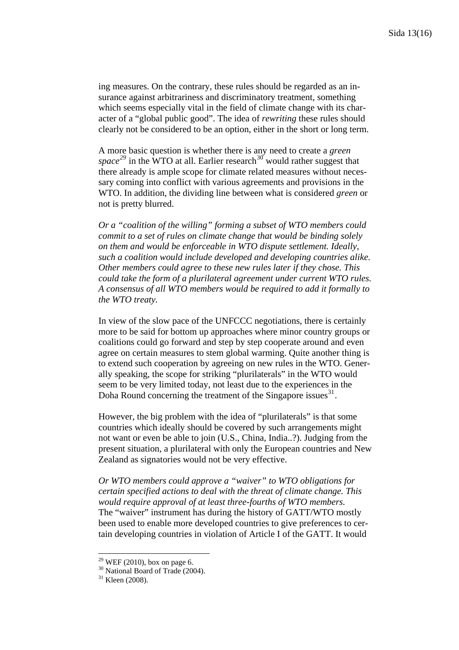ing measures. On the contrary, these rules should be regarded as an insurance against arbitrariness and discriminatory treatment, something which seems especially vital in the field of climate change with its character of a "global public good". The idea of *rewriting* these rules should clearly not be considered to be an option, either in the short or long term.

A more basic question is whether there is any need to create a *green*  space<sup>[29](#page-12-0)</sup> in the WTO at all. Earlier research<sup>[30](#page-12-1)</sup> would rather suggest that there already is ample scope for climate related measures without necessary coming into conflict with various agreements and provisions in the WTO. In addition, the dividing line between what is considered *green* or not is pretty blurred.

*Or a "coalition of the willing" forming a subset of WTO members could commit to a set of rules on climate change that would be binding solely on them and would be enforceable in WTO dispute settlement. Ideally, such a coalition would include developed and developing countries alike. Other members could agree to these new rules later if they chose. This could take the form of a plurilateral agreement under current WTO rules. A consensus of all WTO members would be required to add it formally to the WTO treaty.* 

In view of the slow pace of the UNFCCC negotiations, there is certainly more to be said for bottom up approaches where minor country groups or coalitions could go forward and step by step cooperate around and even agree on certain measures to stem global warming. Quite another thing is to extend such cooperation by agreeing on new rules in the WTO. Generally speaking, the scope for striking "plurilaterals" in the WTO would seem to be very limited today, not least due to the experiences in the Doha Round concerning the treatment of the Singapore issues  $31$ .

However, the big problem with the idea of "plurilaterals" is that some countries which ideally should be covered by such arrangements might not want or even be able to join (U.S., China, India..?). Judging from the present situation, a plurilateral with only the European countries and New Zealand as signatories would not be very effective.

*Or WTO members could approve a "waiver" to WTO obligations for certain specified actions to deal with the threat of climate change. This would require approval of at least three-fourths of WTO members.*  The "waiver" instrument has during the history of GATT/WTO mostly been used to enable more developed countries to give preferences to certain developing countries in violation of Article I of the GATT. It would

<span id="page-12-0"></span><sup>&</sup>lt;sup>29</sup> WEF (2010), box on page 6.

<span id="page-12-1"></span><sup>&</sup>lt;sup>30</sup> National Board of Trade (2004).

<span id="page-12-2"></span><sup>&</sup>lt;sup>31</sup> Kleen (2008).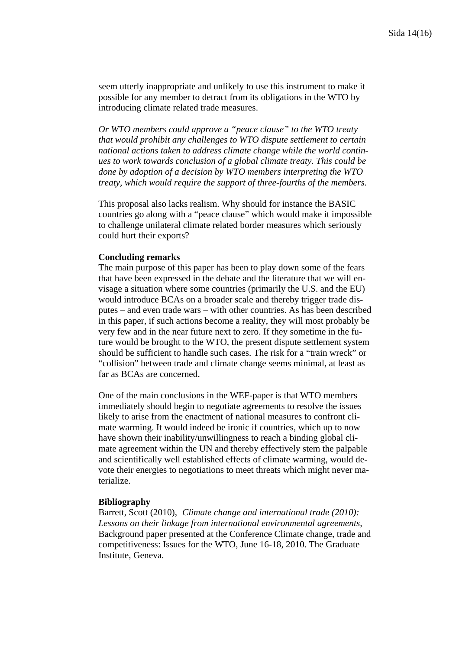seem utterly inappropriate and unlikely to use this instrument to make it possible for any member to detract from its obligations in the WTO by introducing climate related trade measures.

*Or WTO members could approve a "peace clause" to the WTO treaty that would prohibit any challenges to WTO dispute settlement to certain national actions taken to address climate change while the world continues to work towards conclusion of a global climate treaty. This could be done by adoption of a decision by WTO members interpreting the WTO treaty, which would require the support of three-fourths of the members.* 

This proposal also lacks realism. Why should for instance the BASIC countries go along with a "peace clause" which would make it impossible to challenge unilateral climate related border measures which seriously could hurt their exports?

#### **Concluding remarks**

The main purpose of this paper has been to play down some of the fears that have been expressed in the debate and the literature that we will envisage a situation where some countries (primarily the U.S. and the EU) would introduce BCAs on a broader scale and thereby trigger trade disputes – and even trade wars – with other countries. As has been described in this paper, if such actions become a reality, they will most probably be very few and in the near future next to zero. If they sometime in the future would be brought to the WTO, the present dispute settlement system should be sufficient to handle such cases. The risk for a "train wreck" or "collision" between trade and climate change seems minimal, at least as far as BCAs are concerned.

One of the main conclusions in the WEF-paper is that WTO members immediately should begin to negotiate agreements to resolve the issues likely to arise from the enactment of national measures to confront climate warming. It would indeed be ironic if countries, which up to now have shown their inability/unwillingness to reach a binding global climate agreement within the UN and thereby effectively stem the palpable and scientifically well established effects of climate warming, would devote their energies to negotiations to meet threats which might never materialize.

#### **Bibliography**

Barrett, Scott (2010), *Climate change and international trade (2010): Lessons on their linkage from international environmental agreements,* Background paper presented at the Conference Climate change, trade and competitiveness: Issues for the WTO, June 16-18, 2010. The Graduate Institute, Geneva.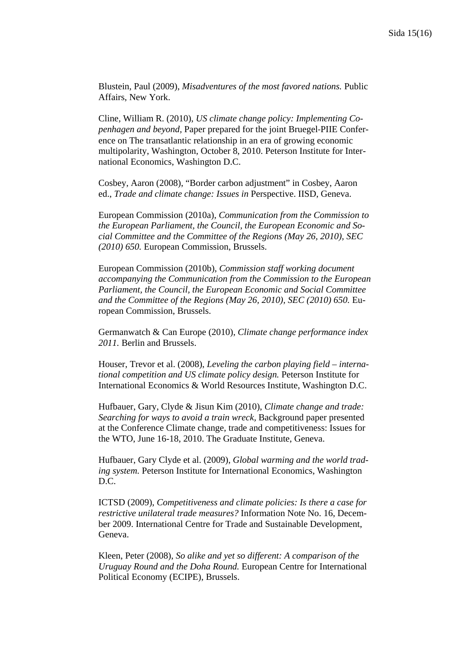Blustein, Paul (2009), *Misadventures of the most favored nations.* Public Affairs, New York.

Cline, William R. (2010), *US climate change policy: Implementing Copenhagen and beyond,* Paper prepared for the joint Bruegel‐PIIE Conference on The transatlantic relationship in an era of growing economic multipolarity, Washington, October 8, 2010. Peterson Institute for International Economics, Washington D.C.

Cosbey, Aaron (2008), "Border carbon adjustment" in Cosbey, Aaron ed., *Trade and climate change: Issues in* Perspective. IISD, Geneva.

European Commission (2010a), *Communication from the Commission to the European Parliament, the Council, the European Economic and Social Committee and the Committee of the Regions (May 26, 2010), SEC (2010) 650.* European Commission, Brussels.

European Commission (2010b), *Commission staff working document accompanying the Communication from the Commission to the European Parliament, the Council, the European Economic and Social Committee and the Committee of the Regions (May 26, 2010), SEC (2010) 650.* European Commission, Brussels.

Germanwatch & Can Europe (2010), *Climate change performance index 2011.* Berlin and Brussels.

Houser, Trevor et al. (2008), *Leveling the carbon playing field – international competition and US climate policy design.* Peterson Institute for International Economics & World Resources Institute, Washington D.C.

Hufbauer, Gary, Clyde & Jisun Kim (2010), *Climate change and trade: Searching for ways to avoid a train wreck,* Background paper presented at the Conference Climate change, trade and competitiveness: Issues for the WTO, June 16-18, 2010. The Graduate Institute, Geneva.

Hufbauer, Gary Clyde et al. (2009), *Global warming and the world trading system.* Peterson Institute for International Economics, Washington D.C.

ICTSD (2009), *Competitiveness and climate policies: Is there a case for restrictive unilateral trade measures?* Information Note No. 16, December 2009. International Centre for Trade and Sustainable Development, Geneva.

Kleen, Peter (2008), *So alike and yet so different: A comparison of the Uruguay Round and the Doha Round.* European Centre for International Political Economy (ECIPE), Brussels.